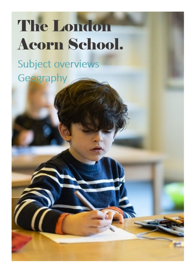## **The London Acorn School.**

Subject overviews Geography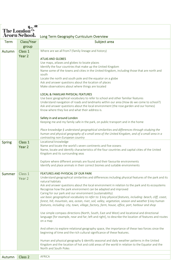| The London <sup>3</sup> |                   | Long Term Geography Curriculum Overview                                                                                                                             |
|-------------------------|-------------------|---------------------------------------------------------------------------------------------------------------------------------------------------------------------|
| <b>Term</b>             | Class/Year        | Subject area                                                                                                                                                        |
|                         | group             |                                                                                                                                                                     |
| Autumn                  | Class 1           | Where are we all from? (family lineage and history)                                                                                                                 |
|                         | Year <sub>2</sub> |                                                                                                                                                                     |
|                         |                   | <b>ATLAS AND GLOBES</b>                                                                                                                                             |
|                         |                   | Use maps, atlases and globes to locate places                                                                                                                       |
|                         |                   | Identify the four countries that make up the United Kingdom                                                                                                         |
|                         |                   | Name some of the towns and cities in the United Kingdom, including those that are north and                                                                         |
|                         |                   | south<br>Locate the north and south pole and the equator on a globe                                                                                                 |
|                         |                   | Ask and answer questions about the location of places                                                                                                               |
|                         |                   | Make observations about where things are located                                                                                                                    |
|                         |                   |                                                                                                                                                                     |
|                         |                   | <b>LOCAL &amp; FAMILIAR PHYSICAL FEATURES</b>                                                                                                                       |
|                         |                   | Use basic geographical vocabulary to refer to school and other familiar features                                                                                    |
|                         |                   | Understand navigation of roads and landmarks within our area (How do we come to school?)                                                                            |
|                         |                   | Ask and answer questions about the local environment (the rose garden and our homes)<br>Know where they live and what their address is.                             |
|                         |                   |                                                                                                                                                                     |
|                         |                   | Safety in and around London                                                                                                                                         |
|                         |                   | Keeping me and my family safe in the park, on public transport and in the home                                                                                      |
|                         |                   |                                                                                                                                                                     |
|                         |                   | Place knowledge § understand geographical similarities and differences through studying the                                                                         |
|                         |                   | human and physical geography of a small area of the United Kingdom, and of a small area in a                                                                        |
|                         | Class 1           | contrasting non-European country<br>Locational knowledge                                                                                                            |
| <b>Spring</b>           | Year 2            | Name and locate the world's seven continents and five oceans                                                                                                        |
|                         |                   | Name, locate and identify characteristics of the four countries and capital cities of the United                                                                    |
|                         |                   | Kingdom and its surrounding seas                                                                                                                                    |
|                         |                   |                                                                                                                                                                     |
|                         |                   | Explore where different animals are found and their favourite environments                                                                                          |
|                         |                   | Identify and place animals in their correct biomes and suitable environments                                                                                        |
| Summer                  | Class 1           | <b>FEATURES AND PHYSICAL OF OUR PARK</b>                                                                                                                            |
|                         | Year 2            | Understand geographical similarities and differences including physical features of the park and its                                                                |
|                         |                   | natural habitats                                                                                                                                                    |
|                         |                   | Ask and answer questions about the local environment in relation to the park and its ecosystems                                                                     |
|                         |                   | Recognise how the park environment can be adapted and improved                                                                                                      |
|                         |                   | Caring for our park and our environment (sustainability)<br>use basic geographical vocabulary to refer to: § key physical features, including: beach, cliff, coast, |
|                         |                   | forest, hill, mountain, sea, ocean, river, soil, valley, vegetation, season and weather § key human                                                                 |
|                         |                   | features, including: city, town, village, factory, farm, house, office, port, harbour and shop                                                                      |
|                         |                   |                                                                                                                                                                     |
|                         |                   | Use simple compass directions (North, South, East and West) and locational and directional                                                                          |
|                         |                   | language [for example, near and far; left and right], to describe the location of features and routes                                                               |
|                         |                   | on a map                                                                                                                                                            |
|                         |                   | And others to explore relational geography space, the importance of these two forces since the                                                                      |
|                         |                   | beginning of time and the rich cultural significance of these features.                                                                                             |
|                         |                   |                                                                                                                                                                     |
|                         |                   | Human and physical geography § identify seasonal and daily weather patterns in the United                                                                           |
|                         |                   | Kingdom and the location of hot and cold areas of the world in relation to the Equator and the                                                                      |
|                         |                   | North and South Poles                                                                                                                                               |
|                         | Class 2           | <b>AFRICA</b>                                                                                                                                                       |
| Autumn                  |                   |                                                                                                                                                                     |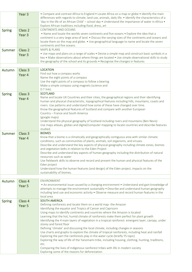|               | Year <sub>3</sub>  | • Compare and contrast Africa to England • Locate Africa on a map or globe • Identify the main<br>differences with regards to climate, land use, animals, daily life. • Identify the characteristics of a<br>'day in the life of an African Child' - school day . Understand the importance of water in Africa .<br>Explore African traditions including-food, dress, art                                                                                                                                                                                                                                                                                                                                |
|---------------|--------------------|----------------------------------------------------------------------------------------------------------------------------------------------------------------------------------------------------------------------------------------------------------------------------------------------------------------------------------------------------------------------------------------------------------------------------------------------------------------------------------------------------------------------------------------------------------------------------------------------------------------------------------------------------------------------------------------------------------|
| <b>Spring</b> | Class 2            | <b>CONTINENTS AND OCEANS</b>                                                                                                                                                                                                                                                                                                                                                                                                                                                                                                                                                                                                                                                                             |
|               | Year <sub>3</sub>  | . Name and locate the worlds seven continents and five oceans . Explore the idea that a<br>continent is a very large area of land. • Discuss the varying sizes of the continents and oceans and<br>locate them on the map and globe. • Use geographical language to name and locate the seven<br>continents and five oceans.                                                                                                                                                                                                                                                                                                                                                                             |
| <b>Summer</b> | Class <sub>2</sub> | <b>MAPS &amp; PLANS</b>                                                                                                                                                                                                                                                                                                                                                                                                                                                                                                                                                                                                                                                                                  |
|               | Year <sub>3</sub>  | • Use maps and plans on a range of scales • Devise a simple map and construct basic symbols in a<br>key . Make observations about where things are located . Use simple observational skills to study<br>the geography of the school and its grounds • Recognise the changes in features                                                                                                                                                                                                                                                                                                                                                                                                                 |
|               |                    |                                                                                                                                                                                                                                                                                                                                                                                                                                                                                                                                                                                                                                                                                                          |
| Autumn        | Class 3            | <b>LOCATION</b>                                                                                                                                                                                                                                                                                                                                                                                                                                                                                                                                                                                                                                                                                          |
|               | Year 4             | Find out how a compass works                                                                                                                                                                                                                                                                                                                                                                                                                                                                                                                                                                                                                                                                             |
|               |                    | Name the eight points of a compass                                                                                                                                                                                                                                                                                                                                                                                                                                                                                                                                                                                                                                                                       |
|               |                    | Use the eight points of a compass to follow a bearing                                                                                                                                                                                                                                                                                                                                                                                                                                                                                                                                                                                                                                                    |
|               |                    | Make a simple compass using magnets (science and<br>D.T link).                                                                                                                                                                                                                                                                                                                                                                                                                                                                                                                                                                                                                                           |
|               |                    | <b>SCOTLAND</b>                                                                                                                                                                                                                                                                                                                                                                                                                                                                                                                                                                                                                                                                                          |
| <b>Spring</b> | Class 3            | Name and locate UK Countries and their cities, the geographical regions and their identifying                                                                                                                                                                                                                                                                                                                                                                                                                                                                                                                                                                                                            |
|               | Year 4             | human and physical characteristic, topographical features including hills, mountains, coasts and<br>rivers. Use patterns and understand how some of these have changed over time.<br>Know the geographical features of Scotland and compare with another European<br>Country - France and South America<br>(google maps)                                                                                                                                                                                                                                                                                                                                                                                 |
|               |                    | Understand the physical geography of Scotland including rivers and mountains (Ben Nevis)<br>Use maps atlases, globes and digital/computer mapping to locate countries and describe features<br>studied.                                                                                                                                                                                                                                                                                                                                                                                                                                                                                                  |
| <b>Summer</b> | Class 3            | <b>BIOMES</b>                                                                                                                                                                                                                                                                                                                                                                                                                                                                                                                                                                                                                                                                                            |
|               | Year 4             | Know that a biome is a climatically and geographically contiguous area with similar climatic<br>conditions, such as communities of plants, animals, soil organisms, and viruses.<br>Describe and understand the key aspects of physical geography including climate zones, biomes<br>and vegetation belts in relation to the Eden Project<br>Describe and understand key aspects of human geography including the distribution of natural<br>resources such as water<br>Use fieldwork skills to observe and record and present the human and physical features of the<br>Eden project<br>Understand how the human features (and design) of the Eden project, impacts on the<br>sustainability of biomes. |
| Autumn        | Class 4            | <b>ENVIRONMENT</b>                                                                                                                                                                                                                                                                                                                                                                                                                                                                                                                                                                                                                                                                                       |
|               | Year 5             | • An environmental issue caused by a changing environment • Understand and gain knowledge of<br>attempts to manage the environment sustainably . Describe and understand human geography<br>including land use and economic activity . Observe measure and record human features in the<br>local area                                                                                                                                                                                                                                                                                                                                                                                                    |
| <b>Spring</b> | Class 4            | <b>SOUTH AMERICA</b>                                                                                                                                                                                                                                                                                                                                                                                                                                                                                                                                                                                                                                                                                     |
|               | Year 5             | Defining rainforests and locate them on a world map-the Amazon                                                                                                                                                                                                                                                                                                                                                                                                                                                                                                                                                                                                                                           |
|               |                    | Identifying the equator and Tropics of Cancer and Capricorn                                                                                                                                                                                                                                                                                                                                                                                                                                                                                                                                                                                                                                              |
|               |                    | Using maps to identify continents and countries where the Amazon is located<br>Learning that the hot, humid climate of rainforests make them perfect for plant growth<br>Identifying the 4 main layers of vegetation in a tropical rainforest: emergent layer, canopy, under<br>storey and forest floor<br>Defining 'climate' and discussing the local climate, including changes in seasons<br>Use charts and graphs to explore the climate of tropical rainforests, including heat and rainfall<br>Exploring the part the rainforests play in the water cycle (briefly Y5 topic)<br>Exploring the way of life of the Yanomami tribe, including housing, clothing, hunting, traditions,<br>etc.         |
|               |                    | Comparing the lives of indigenous rainforest tribes with life in modern society                                                                                                                                                                                                                                                                                                                                                                                                                                                                                                                                                                                                                          |
|               |                    | Exploring some of the reasons for deforestation                                                                                                                                                                                                                                                                                                                                                                                                                                                                                                                                                                                                                                                          |